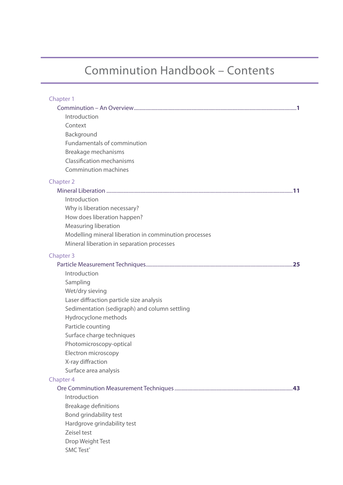## Comminution Handbook – Contents

| Chapter 1                                             |  |
|-------------------------------------------------------|--|
|                                                       |  |
| Introduction                                          |  |
| Context                                               |  |
| Background                                            |  |
| Fundamentals of comminution                           |  |
| Breakage mechanisms                                   |  |
| <b>Classification mechanisms</b>                      |  |
| <b>Comminution machines</b>                           |  |
| <b>Chapter 2</b>                                      |  |
|                                                       |  |
| Introduction                                          |  |
| Why is liberation necessary?                          |  |
| How does liberation happen?                           |  |
| <b>Measuring liberation</b>                           |  |
| Modelling mineral liberation in comminution processes |  |
| Mineral liberation in separation processes            |  |
| Chapter 3                                             |  |
|                                                       |  |
| Introduction                                          |  |
| Sampling                                              |  |
| Wet/dry sieving                                       |  |
| Laser diffraction particle size analysis              |  |
| Sedimentation (sedigraph) and column settling         |  |
| Hydrocyclone methods                                  |  |
| Particle counting                                     |  |
| Surface charge techniques                             |  |
| Photomicroscopy-optical                               |  |
| Electron microscopy                                   |  |
| X-ray diffraction                                     |  |
| Surface area analysis                                 |  |
| Chapter 4                                             |  |
| Introduction                                          |  |
| <b>Breakage definitions</b>                           |  |
| Bond grindability test                                |  |
|                                                       |  |
| Hardgrove grindability test<br>Zeisel test            |  |
| Drop Weight Test                                      |  |
| <b>SMC Test®</b>                                      |  |
|                                                       |  |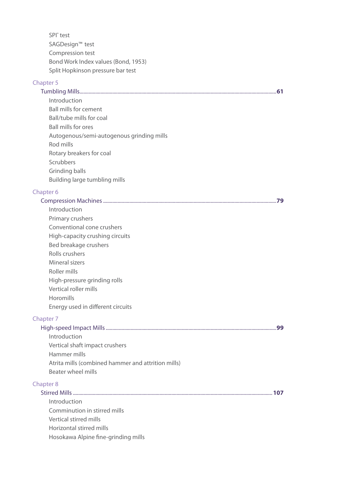SPI® test SAGDesign™ test Compression test Bond Work Index values (Bond, 1953) Split Hopkinson pressure bar test

### Chapter 5

|                                           | 61 |
|-------------------------------------------|----|
| Introduction                              |    |
| Ball mills for cement                     |    |
| Ball/tube mills for coal                  |    |
| <b>Ball mills for ores</b>                |    |
| Autogenous/semi-autogenous grinding mills |    |
| Rod mills                                 |    |
| Rotary breakers for coal                  |    |
| Scrubbers                                 |    |
| Grinding balls                            |    |
| Building large tumbling mills             |    |
|                                           |    |

#### Chapter 6

| Introduction                                       |     |
|----------------------------------------------------|-----|
| Primary crushers                                   |     |
| Conventional cone crushers                         |     |
| High-capacity crushing circuits                    |     |
| Bed breakage crushers                              |     |
| Rolls crushers                                     |     |
| Mineral sizers                                     |     |
| Roller mills                                       |     |
| High-pressure grinding rolls                       |     |
| Vertical roller mills                              |     |
| Horomills                                          |     |
| Energy used in different circuits                  |     |
| Chapter 7                                          |     |
|                                                    | .99 |
| Introduction                                       |     |
| Vertical shaft impact crushers                     |     |
| Hammer mills                                       |     |
| Atrita mills (combined hammer and attrition mills) |     |
| Beater wheel mills                                 |     |
| <b>Chapter 8</b>                                   |     |
|                                                    |     |
| Introduction                                       |     |
| Comminution in stirred mills                       |     |
| Vertical stirred mills                             |     |
| Horizontal stirred mills                           |     |
| Hosokawa Alpine fine-grinding mills                |     |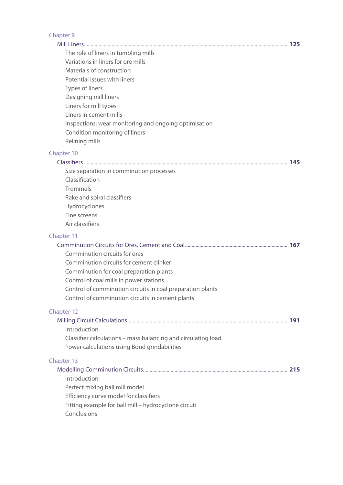| Chapter 9                                                     |  |
|---------------------------------------------------------------|--|
|                                                               |  |
| The role of liners in tumbling mills                          |  |
| Variations in liners for ore mills                            |  |
| Materials of construction                                     |  |
| Potential issues with liners                                  |  |
| Types of liners                                               |  |
| Designing mill liners                                         |  |
| Liners for mill types                                         |  |
| Liners in cement mills                                        |  |
| Inspections, wear monitoring and ongoing optimisation         |  |
| Condition monitoring of liners<br>Relining mills              |  |
|                                                               |  |
| Chapter 10                                                    |  |
|                                                               |  |
| Size separation in comminution processes<br>Classification    |  |
| Trommels                                                      |  |
| Rake and spiral classifiers                                   |  |
| Hydrocyclones                                                 |  |
| Fine screens                                                  |  |
| Air classifiers                                               |  |
| Chapter 11                                                    |  |
|                                                               |  |
| Comminution circuits for ores                                 |  |
| Comminution circuits for cement clinker                       |  |
| Comminution for coal preparation plants                       |  |
| Control of coal mills in power stations                       |  |
| Control of comminution circuits in coal preparation plants    |  |
| Control of comminution circuits in cement plants              |  |
| Chapter 12                                                    |  |
|                                                               |  |
| Introduction                                                  |  |
| Classifier calculations - mass balancing and circulating load |  |
| Power calculations using Bond grindabilities                  |  |
| Chapter 13                                                    |  |
|                                                               |  |
| Introduction                                                  |  |
| Perfect mixing ball mill model                                |  |
| Efficiency curve model for classifiers                        |  |
| Fitting example for ball mill - hydrocyclone circuit          |  |
| Conclusions                                                   |  |
|                                                               |  |